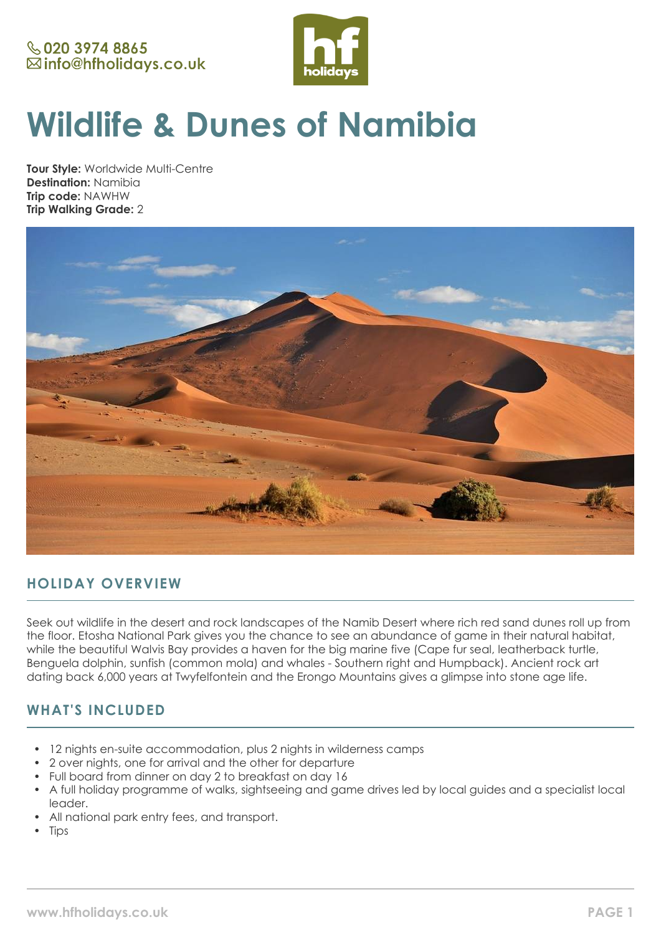

# **Wildlife & Dunes of Namibia**

**Tour Style:** Worldwide Multi-Centre **Destination:** Namibia **Trip code:** NAWHW **Trip Walking Grade:** 2



# **HOLIDAY OVERVIEW**

Seek out wildlife in the desert and rock landscapes of the Namib Desert where rich red sand dunes roll up from the floor. Etosha National Park gives you the chance to see an abundance of game in their natural habitat, while the beautiful Walvis Bay provides a haven for the big marine five (Cape fur seal, leatherback turtle, Benguela dolphin, sunfish (common mola) and whales - Southern right and Humpback). Ancient rock art dating back 6,000 years at Twyfelfontein and the Erongo Mountains gives a glimpse into stone age life.

# **WHAT'S INCLUDED**

- 12 nights en-suite accommodation, plus 2 nights in wilderness camps
- 2 over nights, one for arrival and the other for departure
- Full board from dinner on day 2 to breakfast on day 16
- A full holiday programme of walks, sightseeing and game drives led by local guides and a specialist local leader.
- All national park entry fees, and transport.
- **Tips**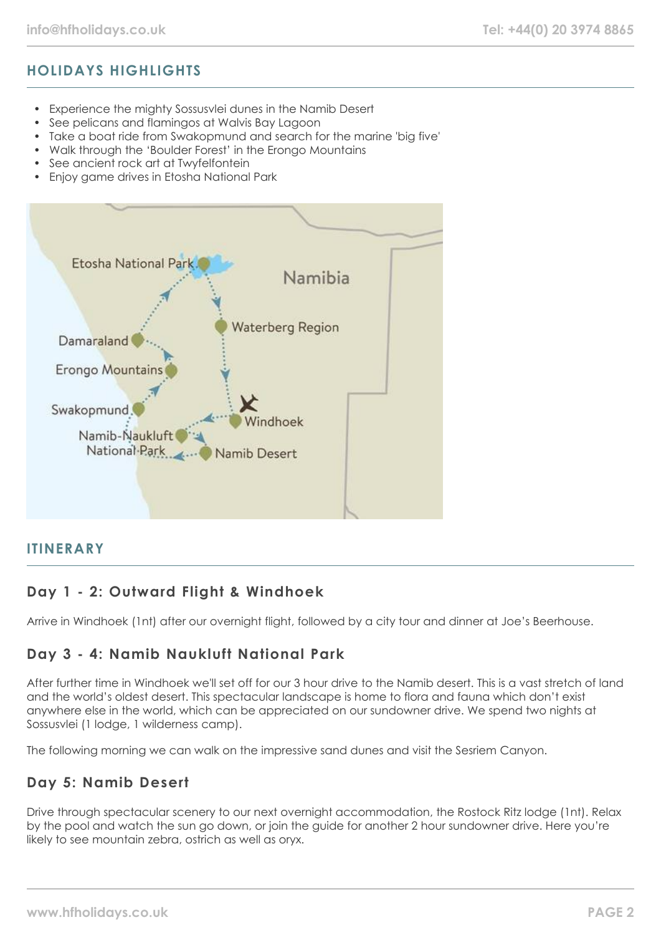# **HOLIDAYS HIGHLIGHTS**

- Experience the mighty Sossusvlei dunes in the Namib Desert
- See pelicans and flamingos at Walvis Bay Lagoon
- Take a boat ride from Swakopmund and search for the marine 'big five'
- Walk through the 'Boulder Forest' in the Erongo Mountains
- See ancient rock art at Twyfelfontein
- Enjoy game drives in Etosha National Park



#### **ITINERARY**

## **Day 1 - 2: Outward Flight & Windhoek**

Arrive in Windhoek (1nt) after our overnight flight, followed by a city tour and dinner at Joe's Beerhouse.

## **Day 3 - 4: Namib Naukluft National Park**

After further time in Windhoek we'll set off for our 3 hour drive to the Namib desert. This is a vast stretch of land and the world's oldest desert. This spectacular landscape is home to flora and fauna which don't exist anywhere else in the world, which can be appreciated on our sundowner drive. We spend two nights at Sossusvlei (1 lodge, 1 wilderness camp).

The following morning we can walk on the impressive sand dunes and visit the Sesriem Canyon.

## **Day 5: Namib Desert**

Drive through spectacular scenery to our next overnight accommodation, the Rostock Ritz lodge (1nt). Relax by the pool and watch the sun go down, or join the guide for another 2 hour sundowner drive. Here you're likely to see mountain zebra, ostrich as well as oryx.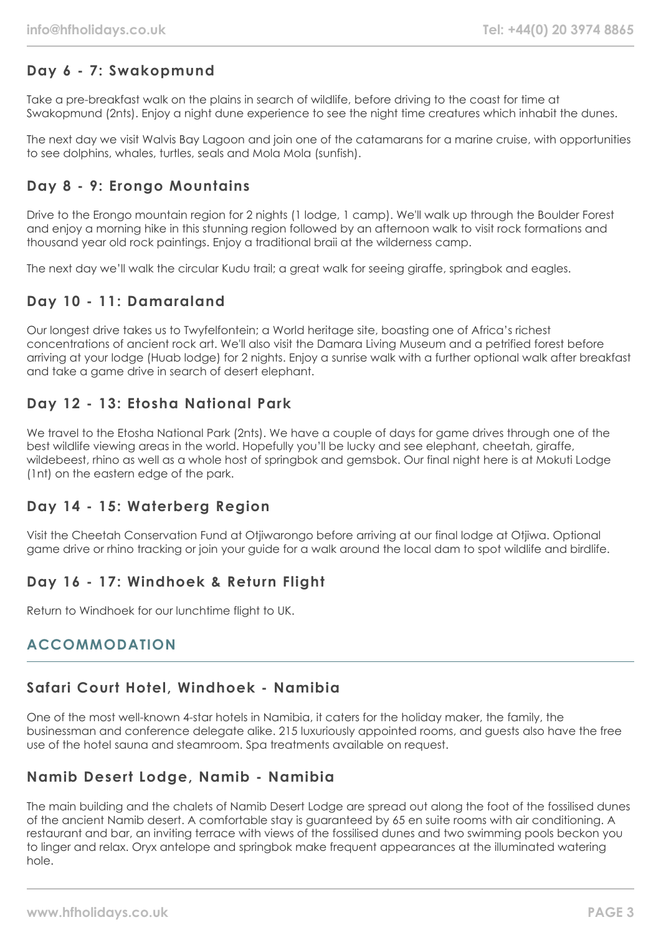# **Day 6 - 7: Swakopmund**

Take a pre-breakfast walk on the plains in search of wildlife, before driving to the coast for time at Swakopmund (2nts). Enjoy a night dune experience to see the night time creatures which inhabit the dunes.

The next day we visit Walvis Bay Lagoon and join one of the catamarans for a marine cruise, with opportunities to see dolphins, whales, turtles, seals and Mola Mola (sunfish).

## **Day 8 - 9: Erongo Mountains**

Drive to the Erongo mountain region for 2 nights (1 lodge, 1 camp). We'll walk up through the Boulder Forest and enjoy a morning hike in this stunning region followed by an afternoon walk to visit rock formations and thousand year old rock paintings. Enjoy a traditional braii at the wilderness camp.

The next day we'll walk the circular Kudu trail; a great walk for seeing giraffe, springbok and eagles.

# **Day 10 - 11: Damaraland**

Our longest drive takes us to Twyfelfontein; a World heritage site, boasting one of Africa's richest concentrations of ancient rock art. We'll also visit the Damara Living Museum and a petrified forest before arriving at your lodge (Huab lodge) for 2 nights. Enjoy a sunrise walk with a further optional walk after breakfast and take a game drive in search of desert elephant.

# **Day 12 - 13: Etosha National Park**

We travel to the Etosha National Park (2nts). We have a couple of days for game drives through one of the best wildlife viewing areas in the world. Hopefully you'll be lucky and see elephant, cheetah, giraffe, wildebeest, rhino as well as a whole host of springbok and gemsbok. Our final night here is at Mokuti Lodge (1nt) on the eastern edge of the park.

## **Day 14 - 15: Waterberg Region**

Visit the Cheetah Conservation Fund at Otjiwarongo before arriving at our final lodge at Otjiwa. Optional game drive or rhino tracking or join your guide for a walk around the local dam to spot wildlife and birdlife.

## **Day 16 - 17: Windhoek & Return Flight**

Return to Windhoek for our lunchtime flight to UK.

## **ACCOMMODATION**

#### **Safari Court Hotel, Windhoek - Namibia**

One of the most well-known 4-star hotels in Namibia, it caters for the holiday maker, the family, the businessman and conference delegate alike. 215 luxuriously appointed rooms, and guests also have the free use of the hotel sauna and steamroom. Spa treatments available on request.

## **Namib Desert Lodge, Namib - Namibia**

The main building and the chalets of Namib Desert Lodge are spread out along the foot of the fossilised dunes of the ancient Namib desert. A comfortable stay is guaranteed by 65 en suite rooms with air conditioning. A restaurant and bar, an inviting terrace with views of the fossilised dunes and two swimming pools beckon you to linger and relax. Oryx antelope and springbok make frequent appearances at the illuminated watering hole.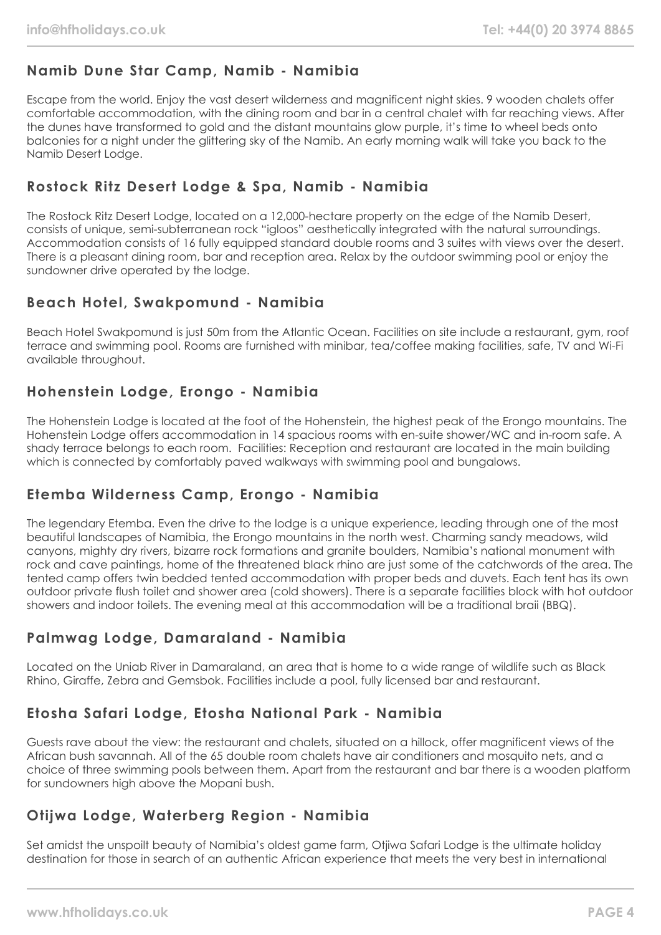# **Namib Dune Star Camp, Namib - Namibia**

Escape from the world. Enjoy the vast desert wilderness and magnificent night skies. 9 wooden chalets offer comfortable accommodation, with the dining room and bar in a central chalet with far reaching views. After the dunes have transformed to gold and the distant mountains glow purple, it's time to wheel beds onto balconies for a night under the glittering sky of the Namib. An early morning walk will take you back to the Namib Desert Lodge.

# **Rostock Ritz Desert Lodge & Spa, Namib - Namibia**

The Rostock Ritz Desert Lodge, located on a 12,000-hectare property on the edge of the Namib Desert, consists of unique, semi-subterranean rock "igloos" aesthetically integrated with the natural surroundings. Accommodation consists of 16 fully equipped standard double rooms and 3 suites with views over the desert. There is a pleasant dining room, bar and reception area. Relax by the outdoor swimming pool or enjoy the sundowner drive operated by the lodge.

# **Beach Hotel, Swakpomund - Namibia**

Beach Hotel Swakpomund is just 50m from the Atlantic Ocean. Facilities on site include a restaurant, gym, roof terrace and swimming pool. Rooms are furnished with minibar, tea/coffee making facilities, safe, TV and Wi-Fi available throughout.

# **Hohenstein Lodge, Erongo - Namibia**

The Hohenstein Lodge is located at the foot of the Hohenstein, the highest peak of the Erongo mountains. The Hohenstein Lodge offers accommodation in 14 spacious rooms with en-suite shower/WC and in-room safe. A shady terrace belongs to each room. Facilities: Reception and restaurant are located in the main building which is connected by comfortably paved walkways with swimming pool and bungalows.

# **Etemba Wilderness Camp, Erongo - Namibia**

The legendary Etemba. Even the drive to the lodge is a unique experience, leading through one of the most beautiful landscapes of Namibia, the Erongo mountains in the north west. Charming sandy meadows, wild canyons, mighty dry rivers, bizarre rock formations and granite boulders, Namibia's national monument with rock and cave paintings, home of the threatened black rhino are just some of the catchwords of the area. The tented camp offers twin bedded tented accommodation with proper beds and duvets. Each tent has its own outdoor private flush toilet and shower area (cold showers). There is a separate facilities block with hot outdoor showers and indoor toilets. The evening meal at this accommodation will be a traditional braii (BBQ).

# **Palmwag Lodge, Damaraland - Namibia**

Located on the Uniab River in Damaraland, an area that is home to a wide range of wildlife such as Black Rhino, Giraffe, Zebra and Gemsbok. Facilities include a pool, fully licensed bar and restaurant.

# **Etosha Safari Lodge, Etosha National Park - Namibia**

Guests rave about the view: the restaurant and chalets, situated on a hillock, offer magnificent views of the African bush savannah. All of the 65 double room chalets have air conditioners and mosquito nets, and a choice of three swimming pools between them. Apart from the restaurant and bar there is a wooden platform for sundowners high above the Mopani bush.

## **Otijwa Lodge, Waterberg Region - Namibia**

Set amidst the unspoilt beauty of Namibia's oldest game farm, Otjiwa Safari Lodge is the ultimate holiday destination for those in search of an authentic African experience that meets the very best in international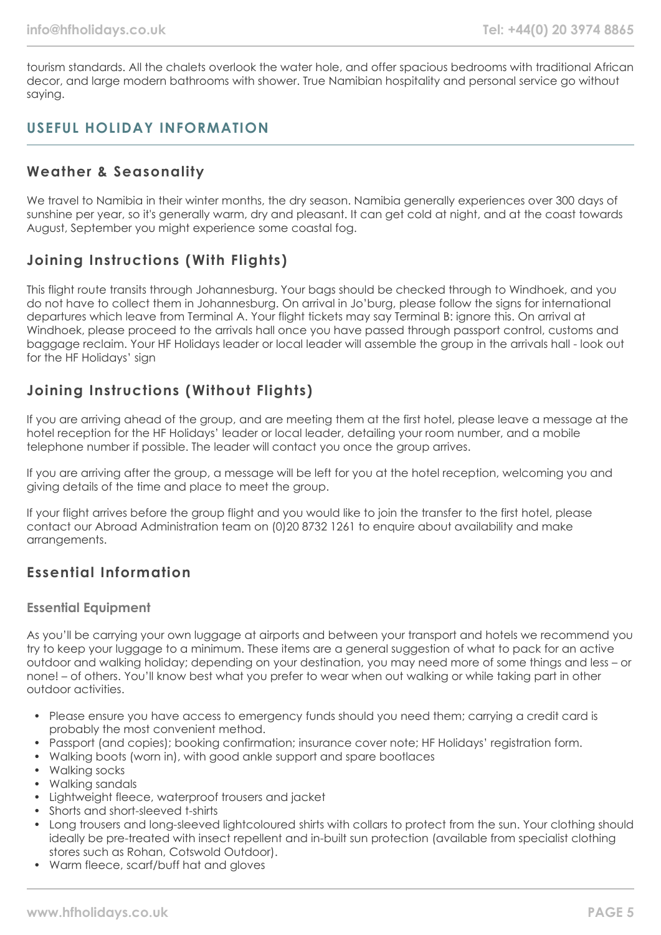tourism standards. All the chalets overlook the water hole, and offer spacious bedrooms with traditional African decor, and large modern bathrooms with shower. True Namibian hospitality and personal service go without saying.

## **USEFUL HOLIDAY INFORMATION**

#### **Weather & Seasonality**

We travel to Namibia in their winter months, the dry season. Namibia generally experiences over 300 days of sunshine per year, so it's generally warm, dry and pleasant. It can get cold at night, and at the coast towards August, September you might experience some coastal fog.

## **Joining Instructions (With Flights)**

This flight route transits through Johannesburg. Your bags should be checked through to Windhoek, and you do not have to collect them in Johannesburg. On arrival in Jo'burg, please follow the signs for international departures which leave from Terminal A. Your flight tickets may say Terminal B: ignore this. On arrival at Windhoek, please proceed to the arrivals hall once you have passed through passport control, customs and baggage reclaim. Your HF Holidays leader or local leader will assemble the group in the arrivals hall - look out for the HF Holidays' sign

## **Joining Instructions (Without Flights)**

If you are arriving ahead of the group, and are meeting them at the first hotel, please leave a message at the hotel reception for the HF Holidays' leader or local leader, detailing your room number, and a mobile telephone number if possible. The leader will contact you once the group arrives.

If you are arriving after the group, a message will be left for you at the hotel reception, welcoming you and giving details of the time and place to meet the group.

If your flight arrives before the group flight and you would like to join the transfer to the first hotel, please contact our Abroad Administration team on (0)20 8732 1261 to enquire about availability and make arrangements.

## **Essential Information**

#### **Essential Equipment**

As you'll be carrying your own luggage at airports and between your transport and hotels we recommend you try to keep your luggage to a minimum. These items are a general suggestion of what to pack for an active outdoor and walking holiday; depending on your destination, you may need more of some things and less – or none! – of others. You'll know best what you prefer to wear when out walking or while taking part in other outdoor activities.

- Please ensure you have access to emergency funds should you need them; carrying a credit card is probably the most convenient method.
- Passport (and copies); booking confirmation; insurance cover note; HF Holidays' registration form.
- Walking boots (worn in), with good ankle support and spare bootlaces
- Walking socks
- Walking sandals
- Lightweight fleece, waterproof trousers and jacket
- Shorts and short-sleeved t-shirts
- Long trousers and long-sleeved lightcoloured shirts with collars to protect from the sun. Your clothing should ideally be pre-treated with insect repellent and in-built sun protection (available from specialist clothing stores such as Rohan, Cotswold Outdoor).
- Warm fleece, scarf/buff hat and gloves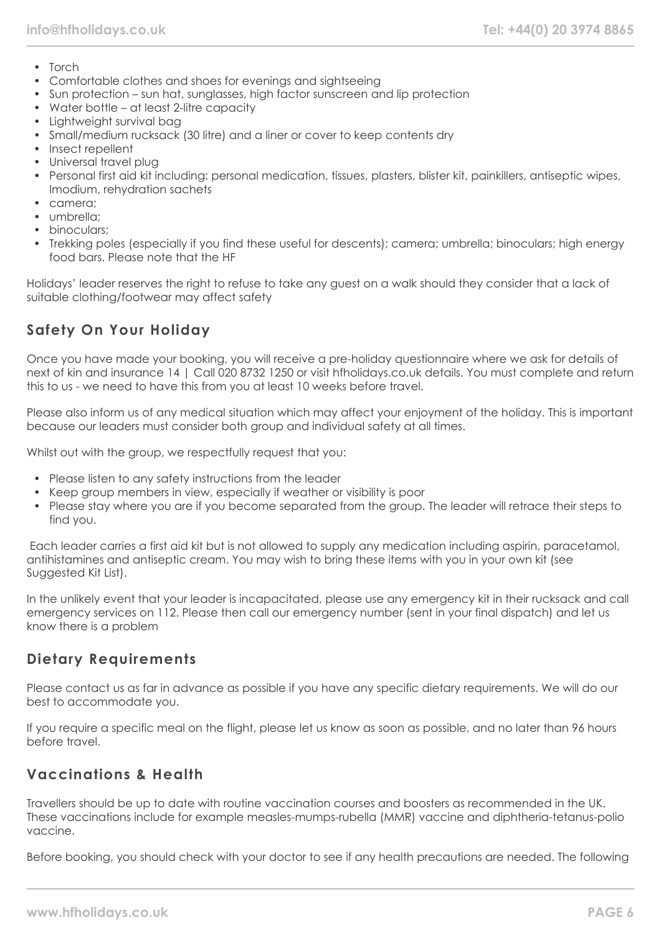- Torch
- Comfortable clothes and shoes for evenings and sightseeing
- Sun protection sun hat, sunglasses, high factor sunscreen and lip protection
- Water bottle at least 2-litre capacity
- Lightweight survival bag
- Small/medium rucksack (30 litre) and a liner or cover to keep contents dry
- Insect repellent
- Universal travel plug
- Personal first aid kit including: personal medication, tissues, plasters, blister kit, painkillers, antiseptic wipes, Imodium, rehydration sachets
- camera;
- umbrella:
- binoculars:
- Trekking poles (especially if you find these useful for descents); camera; umbrella; binoculars; high energy food bars. Please note that the HF

Holidays' leader reserves the right to refuse to take any guest on a walk should they consider that a lack of suitable clothing/footwear may affect safety

# **Safety On Your Holiday**

Once you have made your booking, you will receive a pre-holiday questionnaire where we ask for details of next of kin and insurance 14 | Call 020 8732 1250 or visit hfholidays.co.uk details. You must complete and return this to us - we need to have this from you at least 10 weeks before travel.

Please also inform us of any medical situation which may affect your enjoyment of the holiday. This is important because our leaders must consider both group and individual safety at all times.

Whilst out with the group, we respectfully request that you:

- Please listen to any safety instructions from the leader
- Keep group members in view, especially if weather or visibility is poor
- Please stay where you are if you become separated from the group. The leader will retrace their steps to find you.

Each leader carries a first aid kit but is not allowed to supply any medication including aspirin, paracetamol, antihistamines and antiseptic cream. You may wish to bring these items with you in your own kit (see Suggested Kit List).

In the unlikely event that your leader is incapacitated, please use any emergency kit in their rucksack and call emergency services on 112. Please then call our emergency number (sent in your final dispatch) and let us know there is a problem

## **Dietary Requirements**

Please contact us as far in advance as possible if you have any specific dietary requirements. We will do our best to accommodate you.

If you require a specific meal on the flight, please let us know as soon as possible, and no later than 96 hours before travel.

## **Vaccinations & Health**

Travellers should be up to date with routine vaccination courses and boosters as recommended in the UK. These vaccinations include for example measles-mumps-rubella (MMR) vaccine and diphtheria-tetanus-polio vaccine.

Before booking, you should check with your doctor to see if any health precautions are needed. The following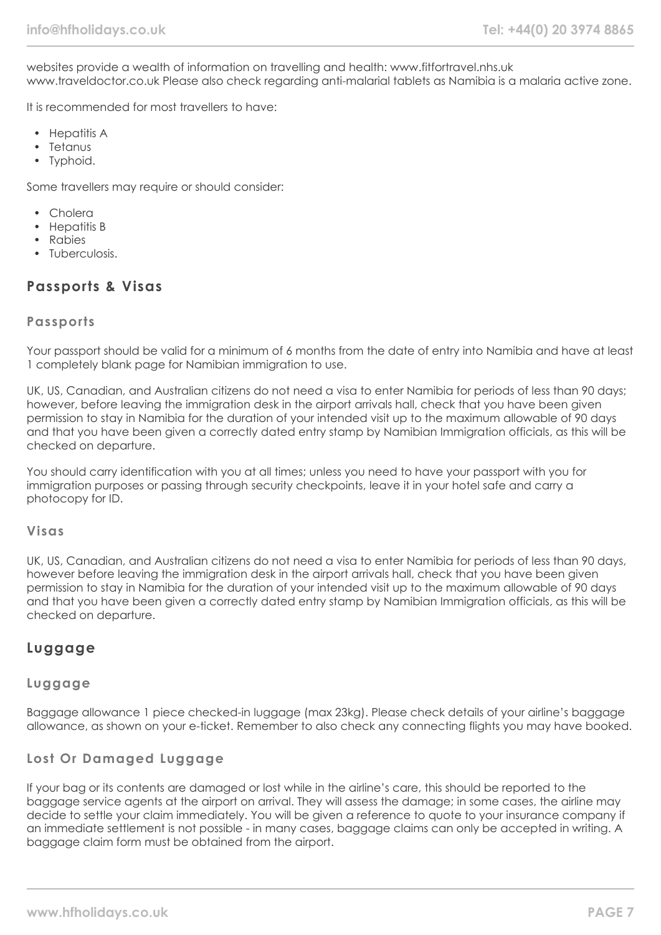websites provide a wealth of information on travelling and health: www.fitfortravel.nhs.uk www.traveldoctor.co.uk Please also check regarding anti-malarial tablets as Namibia is a malaria active zone.

It is recommended for most travellers to have:

- Hepatitis A
- Tetanus
- Typhoid.

Some travellers may require or should consider:

- Cholera
- Hepatitis B
- Rabies
- Tuberculosis.

#### **Passports & Visas**

#### **Passports**

Your passport should be valid for a minimum of 6 months from the date of entry into Namibia and have at least 1 completely blank page for Namibian immigration to use.

UK, US, Canadian, and Australian citizens do not need a visa to enter Namibia for periods of less than 90 days; however, before leaving the immigration desk in the airport arrivals hall, check that you have been given permission to stay in Namibia for the duration of your intended visit up to the maximum allowable of 90 days and that you have been given a correctly dated entry stamp by Namibian Immigration officials, as this will be checked on departure.

You should carry identification with you at all times; unless you need to have your passport with you for immigration purposes or passing through security checkpoints, leave it in your hotel safe and carry a photocopy for ID.

#### **Visas**

UK, US, Canadian, and Australian citizens do not need a visa to enter Namibia for periods of less than 90 days, however before leaving the immigration desk in the airport arrivals hall, check that you have been given permission to stay in Namibia for the duration of your intended visit up to the maximum allowable of 90 days and that you have been given a correctly dated entry stamp by Namibian Immigration officials, as this will be checked on departure.

## **Luggage**

#### **Luggage**

Baggage allowance 1 piece checked-in luggage (max 23kg). Please check details of your airline's baggage allowance, as shown on your e-ticket. Remember to also check any connecting flights you may have booked.

#### **Lost Or Damaged Luggage**

If your bag or its contents are damaged or lost while in the airline's care, this should be reported to the baggage service agents at the airport on arrival. They will assess the damage; in some cases, the airline may decide to settle your claim immediately. You will be given a reference to quote to your insurance company if an immediate settlement is not possible - in many cases, baggage claims can only be accepted in writing. A baggage claim form must be obtained from the airport.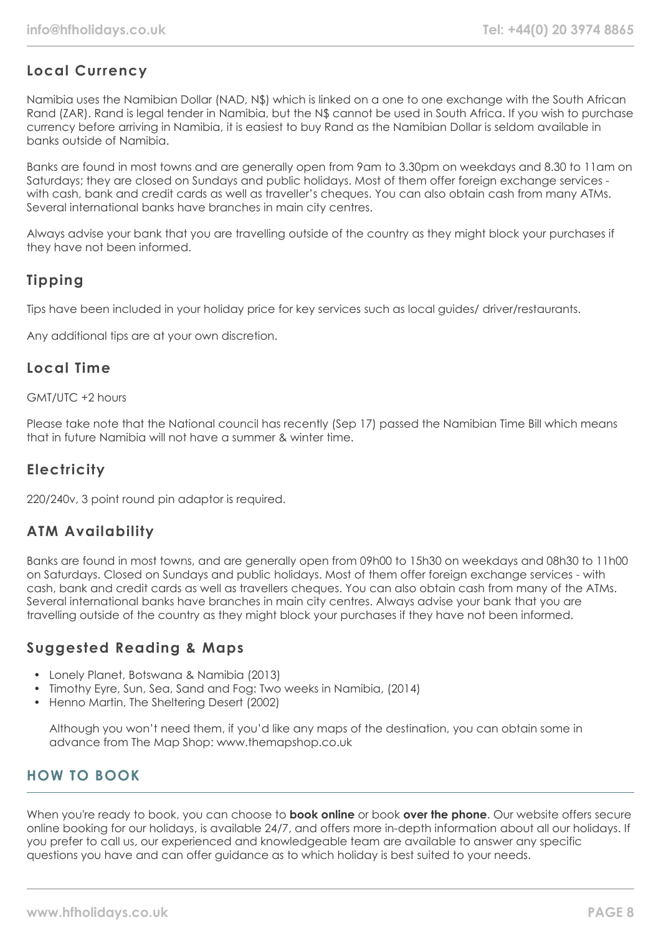# **Local Currency**

Namibia uses the Namibian Dollar (NAD, N\$) which is linked on a one to one exchange with the South African Rand (ZAR). Rand is legal tender in Namibia, but the N\$ cannot be used in South Africa. If you wish to purchase currency before arriving in Namibia, it is easiest to buy Rand as the Namibian Dollar is seldom available in banks outside of Namibia.

Banks are found in most towns and are generally open from 9am to 3.30pm on weekdays and 8.30 to 11am on Saturdays; they are closed on Sundays and public holidays. Most of them offer foreign exchange services with cash, bank and credit cards as well as traveller's cheques. You can also obtain cash from many ATMs. Several international banks have branches in main city centres.

Always advise your bank that you are travelling outside of the country as they might block your purchases if they have not been informed.

# **Tipping**

Tips have been included in your holiday price for key services such as local guides/ driver/restaurants.

Any additional tips are at your own discretion.

#### **Local Time**

#### GMT/UTC +2 hours

Please take note that the National council has recently (Sep 17) passed the Namibian Time Bill which means that in future Namibia will not have a summer & winter time.

## **Electricity**

220/240v, 3 point round pin adaptor is required.

#### **ATM Availability**

Banks are found in most towns, and are generally open from 09h00 to 15h30 on weekdays and 08h30 to 11h00 on Saturdays. Closed on Sundays and public holidays. Most of them offer foreign exchange services - with cash, bank and credit cards as well as travellers cheques. You can also obtain cash from many of the ATMs. Several international banks have branches in main city centres. Always advise your bank that you are travelling outside of the country as they might block your purchases if they have not been informed.

## **Suggested Reading & Maps**

- Lonely Planet, Botswana & Namibia (2013)
- Timothy Eyre, Sun, Sea, Sand and Fog: Two weeks in Namibia, (2014)
- Henno Martin, The Sheltering Desert (2002)

Although you won't need them, if you'd like any maps of the destination, you can obtain some in advance from The Map Shop: www.themapshop.co.uk

## **HOW TO BOOK**

When you're ready to book, you can choose to **book online** or book **over the phone**. Our website offers secure online booking for our holidays, is available 24/7, and offers more in-depth information about all our holidays. If you prefer to call us, our experienced and knowledgeable team are available to answer any specific questions you have and can offer guidance as to which holiday is best suited to your needs.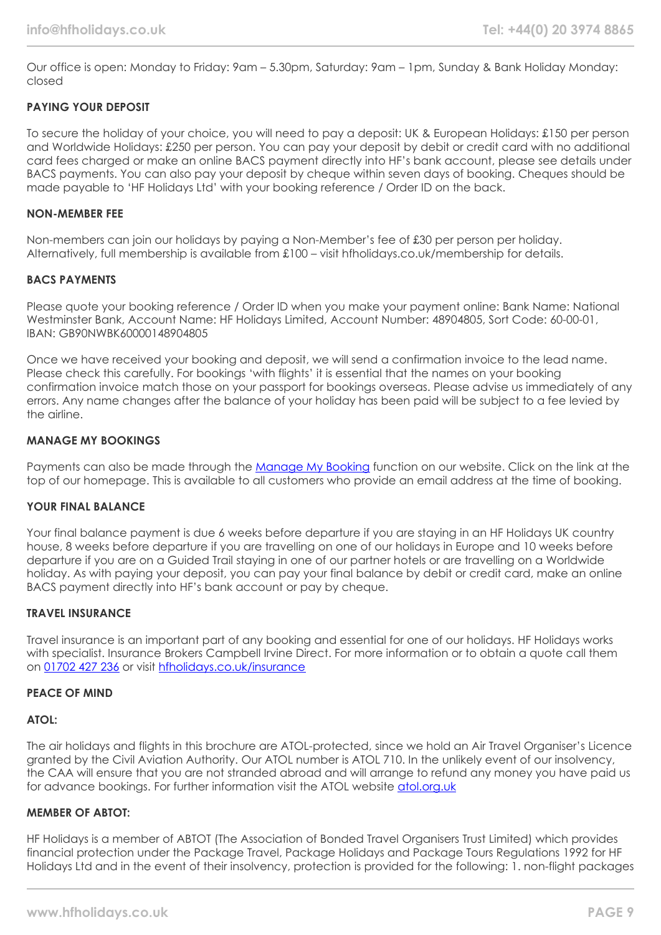Our office is open: Monday to Friday: 9am – 5.30pm, Saturday: 9am – 1pm, Sunday & Bank Holiday Monday: closed

#### **PAYING YOUR DEPOSIT**

To secure the holiday of your choice, you will need to pay a deposit: UK & European Holidays: £150 per person and Worldwide Holidays: £250 per person. You can pay your deposit by debit or credit card with no additional card fees charged or make an online BACS payment directly into HF's bank account, please see details under BACS payments. You can also pay your deposit by cheque within seven days of booking. Cheques should be made payable to 'HF Holidays Ltd' with your booking reference / Order ID on the back.

#### **NON-MEMBER FEE**

Non-members can join our holidays by paying a Non-Member's fee of £30 per person per holiday. Alternatively, full membership is available from £100 – visit hfholidays.co.uk/membership for details.

#### **BACS PAYMENTS**

Please quote your booking reference / Order ID when you make your payment online: Bank Name: National Westminster Bank, Account Name: HF Holidays Limited, Account Number: 48904805, Sort Code: 60-00-01, IBAN: GB90NWBK60000148904805

Once we have received your booking and deposit, we will send a confirmation invoice to the lead name. Please check this carefully. For bookings 'with flights' it is essential that the names on your booking confirmation invoice match those on your passport for bookings overseas. Please advise us immediately of any errors. Any name changes after the balance of your holiday has been paid will be subject to a fee levied by the airline.

#### **MANAGE MY BOOKINGS**

Payments can also be made through the [Manage My Booking](https://www.hfholidays.co.uk/about-us/bookings/my-booking) function on our website. Click on the link at the top of our homepage. This is available to all customers who provide an email address at the time of booking.

#### **YOUR FINAL BALANCE**

Your final balance payment is due 6 weeks before departure if you are staying in an HF Holidays UK country house, 8 weeks before departure if you are travelling on one of our holidays in Europe and 10 weeks before departure if you are on a Guided Trail staying in one of our partner hotels or are travelling on a Worldwide holiday. As with paying your deposit, you can pay your final balance by debit or credit card, make an online BACS payment directly into HF's bank account or pay by cheque.

#### **TRAVEL INSURANCE**

Travel insurance is an important part of any booking and essential for one of our holidays. HF Holidays works with specialist. Insurance Brokers Campbell Irvine Direct. For more information or to obtain a quote call them on [01702 427 236](tel:01702427236) or visit [hfholidays.co.uk/insurance](https://www.hfholidays.co.uk/about-us/bookings/insurance)

#### **PEACE OF MIND**

#### **ATOL:**

The air holidays and flights in this brochure are ATOL-protected, since we hold an Air Travel Organiser's Licence granted by the Civil Aviation Authority. Our ATOL number is ATOL 710. In the unlikely event of our insolvency, the CAA will ensure that you are not stranded abroad and will arrange to refund any money you have paid us for advance bookings. For further information visit the ATOL website [atol.org.uk](https://www.atol.org/)

#### **MEMBER OF ABTOT:**

HF Holidays is a member of ABTOT (The Association of Bonded Travel Organisers Trust Limited) which provides financial protection under the Package Travel, Package Holidays and Package Tours Regulations 1992 for HF Holidays Ltd and in the event of their insolvency, protection is provided for the following: 1. non-flight packages